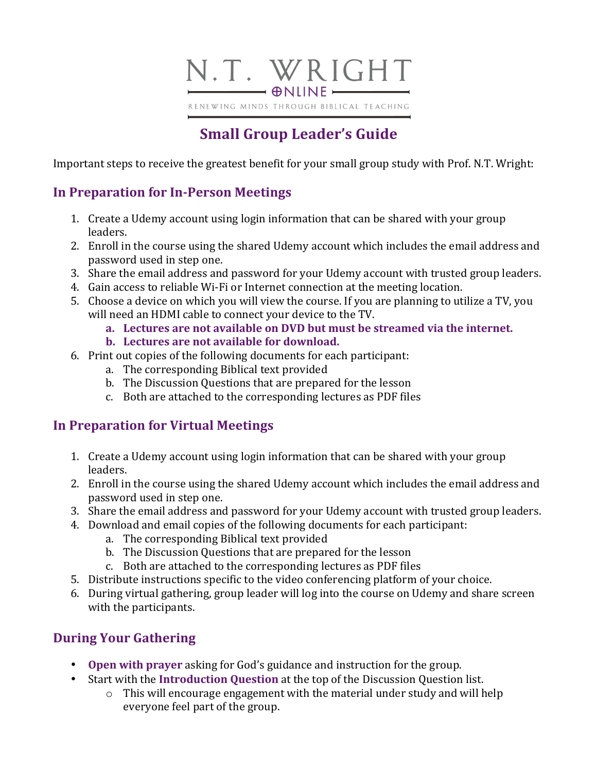

# **Small Group Leader's Guide**

Important steps to receive the greatest benefit for your small group study with Prof. N.T. Wright:

## **In Preparation for In-Person Meetings**

- 1. Create a Udemy account using login information that can be shared with your group leaders.
- 2. Enroll in the course using the shared Udemy account which includes the email address and password used in step one.
- 3. Share the email address and password for your Udemy account with trusted group leaders.
- 4. Gain access to reliable Wi-Fi or Internet connection at the meeting location.
- 5. Choose a device on which you will view the course. If you are planning to utilize a TV, you will need an HDMI cable to connect your device to the TV.
	- **a.** Lectures are not available on DVD but must be streamed via the internet.
	- **b.** Lectures are not available for download.
- 6. Print out copies of the following documents for each participant:
	- a. The corresponding Biblical text provided
	- b. The Discussion Questions that are prepared for the lesson
	- c. Both are attached to the corresponding lectures as PDF files

# **In Preparation for Virtual Meetings**

- 1. Create a Udemy account using login information that can be shared with your group leaders.
- 2. Enroll in the course using the shared Udemy account which includes the email address and password used in step one.
- 3. Share the email address and password for your Udemy account with trusted group leaders.
- 4. Download and email copies of the following documents for each participant:
	- a. The corresponding Biblical text provided
	- b. The Discussion Questions that are prepared for the lesson
	- c. Both are attached to the corresponding lectures as PDF files
- 5. Distribute instructions specific to the video conferencing platform of your choice.
- 6. During virtual gathering, group leader will log into the course on Udemy and share screen with the participants.

### **During Your Gathering**

- **Open with prayer** asking for God's guidance and instruction for the group.
- Start with the **Introduction Question** at the top of the Discussion Question list.
	- $\circ$  This will encourage engagement with the material under study and will help everyone feel part of the group.